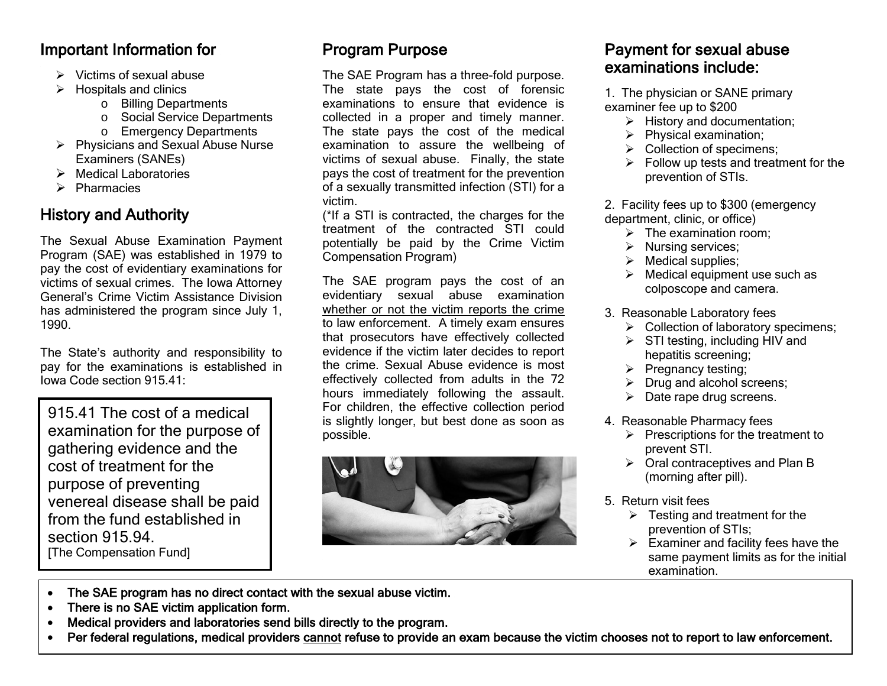#### Important Information for

- $\triangleright$  Victims of sexual abuse
- $\triangleright$  Hospitals and clinics
	- o Billing Departments
	- o Social Service Departments
	- o Emergency Departments
- $\triangleright$  Physicians and Sexual Abuse Nurse Examiners (SANEs)
- $\triangleright$  Medical Laboratories
- $\triangleright$  Pharmacies

# History and Authority

The Sexual Abuse Examination Payment Program (SAE) was established in 1979 to pay the cost of evidentiary examinations for victims of sexual crimes. The Iowa Attorney General's Crime Victim Assistance Division has administered the program since July 1, 1990.

The State's authority and responsibility to pay for the examinations is established in Iowa Code section 915.41:

915.41 The cost of a medical examination for the purpose of gathering evidence and the cost of treatment for the purpose of preventing venereal disease shall be paid from the fund established in section 915.94. [The Compensation Fund]

# Program Purpose

The SAE Program has a three-fold purpose. The state pays the cost of forensic examinations to ensure that evidence is collected in a proper and timely manner. The state pays the cost of the medical examination to assure the wellbeing of victims of sexual abuse. Finally, the state pays the cost of treatment for the prevention of a sexually transmitted infection (STI) for a victim.

(\*If a STI is contracted, the charges for the treatment of the contracted STI could potentially be paid by the Crime Victim Compensation Program)

The SAE program pays the cost of an evidentiary sexual abuse examination whether or not the victim reports the crime to law enforcement. A timely exam ensures that prosecutors have effectively collected evidence if the victim later decides to report the crime. Sexual Abuse evidence is most effectively collected from adults in the 72 hours immediately following the assault. For children, the effective collection period is slightly longer, but best done as soon as possible.



# Payment for sexual abuse examinations include:

1. The physician or SANE primary examiner fee up to \$200

- $\triangleright$  History and documentation;
- $\triangleright$  Physical examination;
- $\triangleright$  Collection of specimens;
- $\triangleright$  Follow up tests and treatment for the prevention of STIs.

2. Facility fees up to \$300 (emergency department, clinic, or office)

- $\triangleright$  The examination room:
- $\triangleright$  Nursing services:
- $\triangleright$  Medical supplies;
- $\triangleright$  Medical equipment use such as colposcope and camera.
- 3. Reasonable Laboratory fees
	- $\triangleright$  Collection of laboratory specimens;
	- $\triangleright$  STI testing, including HIV and hepatitis screening;
	- $\triangleright$  Pregnancy testing;
	- $\triangleright$  Drug and alcohol screens;
	- $\triangleright$  Date rape drug screens.
- 4. Reasonable Pharmacy fees
	- $\triangleright$  Prescriptions for the treatment to prevent STI.
	- $\triangleright$  Oral contraceptives and Plan B (morning after pill).
- 5. Return visit fees

٦

- $\triangleright$  Testing and treatment for the prevention of STIs;
- $\triangleright$  Examiner and facility fees have the same payment limits as for the initial examination.

- The SAE program has no direct contact with the sexual abuse victim.
- There is no SAE victim application form.

 $\overline{a}$ 

- Medical providers and laboratories send bills directly to the program.
- Per federal regulations, medical providers cannot refuse to provide an exam because the victim chooses not to report to law enforcement.